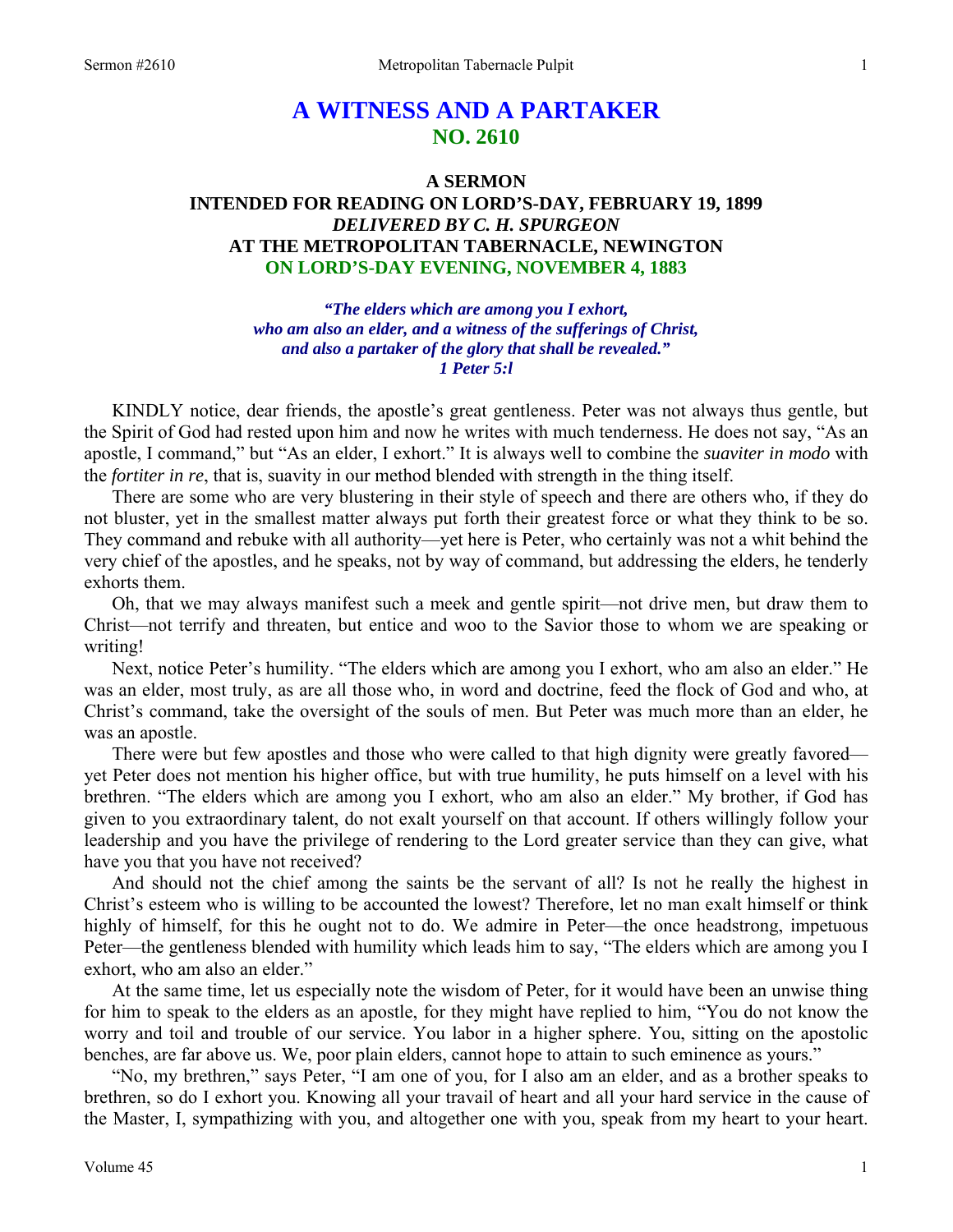# **A WITNESS AND A PARTAKER NO. 2610**

## **A SERMON INTENDED FOR READING ON LORD'S-DAY, FEBRUARY 19, 1899**  *DELIVERED BY C. H. SPURGEON*  **AT THE METROPOLITAN TABERNACLE, NEWINGTON ON LORD'S-DAY EVENING, NOVEMBER 4, 1883**

*"The elders which are among you I exhort, who am also an elder, and a witness of the sufferings of Christ, and also a partaker of the glory that shall be revealed." 1 Peter 5:l* 

KINDLY notice, dear friends, the apostle's great gentleness. Peter was not always thus gentle, but the Spirit of God had rested upon him and now he writes with much tenderness. He does not say, "As an apostle, I command," but "As an elder, I exhort." It is always well to combine the *suaviter in modo* with the *fortiter in re*, that is, suavity in our method blended with strength in the thing itself.

 There are some who are very blustering in their style of speech and there are others who, if they do not bluster, yet in the smallest matter always put forth their greatest force or what they think to be so. They command and rebuke with all authority—yet here is Peter, who certainly was not a whit behind the very chief of the apostles, and he speaks, not by way of command, but addressing the elders, he tenderly exhorts them.

 Oh, that we may always manifest such a meek and gentle spirit—not drive men, but draw them to Christ—not terrify and threaten, but entice and woo to the Savior those to whom we are speaking or writing!

 Next, notice Peter's humility. "The elders which are among you I exhort, who am also an elder." He was an elder, most truly, as are all those who, in word and doctrine, feed the flock of God and who, at Christ's command, take the oversight of the souls of men. But Peter was much more than an elder, he was an apostle.

 There were but few apostles and those who were called to that high dignity were greatly favored yet Peter does not mention his higher office, but with true humility, he puts himself on a level with his brethren. "The elders which are among you I exhort, who am also an elder." My brother, if God has given to you extraordinary talent, do not exalt yourself on that account. If others willingly follow your leadership and you have the privilege of rendering to the Lord greater service than they can give, what have you that you have not received?

 And should not the chief among the saints be the servant of all? Is not he really the highest in Christ's esteem who is willing to be accounted the lowest? Therefore, let no man exalt himself or think highly of himself, for this he ought not to do. We admire in Peter—the once headstrong, impetuous Peter—the gentleness blended with humility which leads him to say, "The elders which are among you I exhort, who am also an elder."

 At the same time, let us especially note the wisdom of Peter, for it would have been an unwise thing for him to speak to the elders as an apostle, for they might have replied to him, "You do not know the worry and toil and trouble of our service. You labor in a higher sphere. You, sitting on the apostolic benches, are far above us. We, poor plain elders, cannot hope to attain to such eminence as yours."

 "No, my brethren," says Peter, "I am one of you, for I also am an elder, and as a brother speaks to brethren, so do I exhort you. Knowing all your travail of heart and all your hard service in the cause of the Master, I, sympathizing with you, and altogether one with you, speak from my heart to your heart.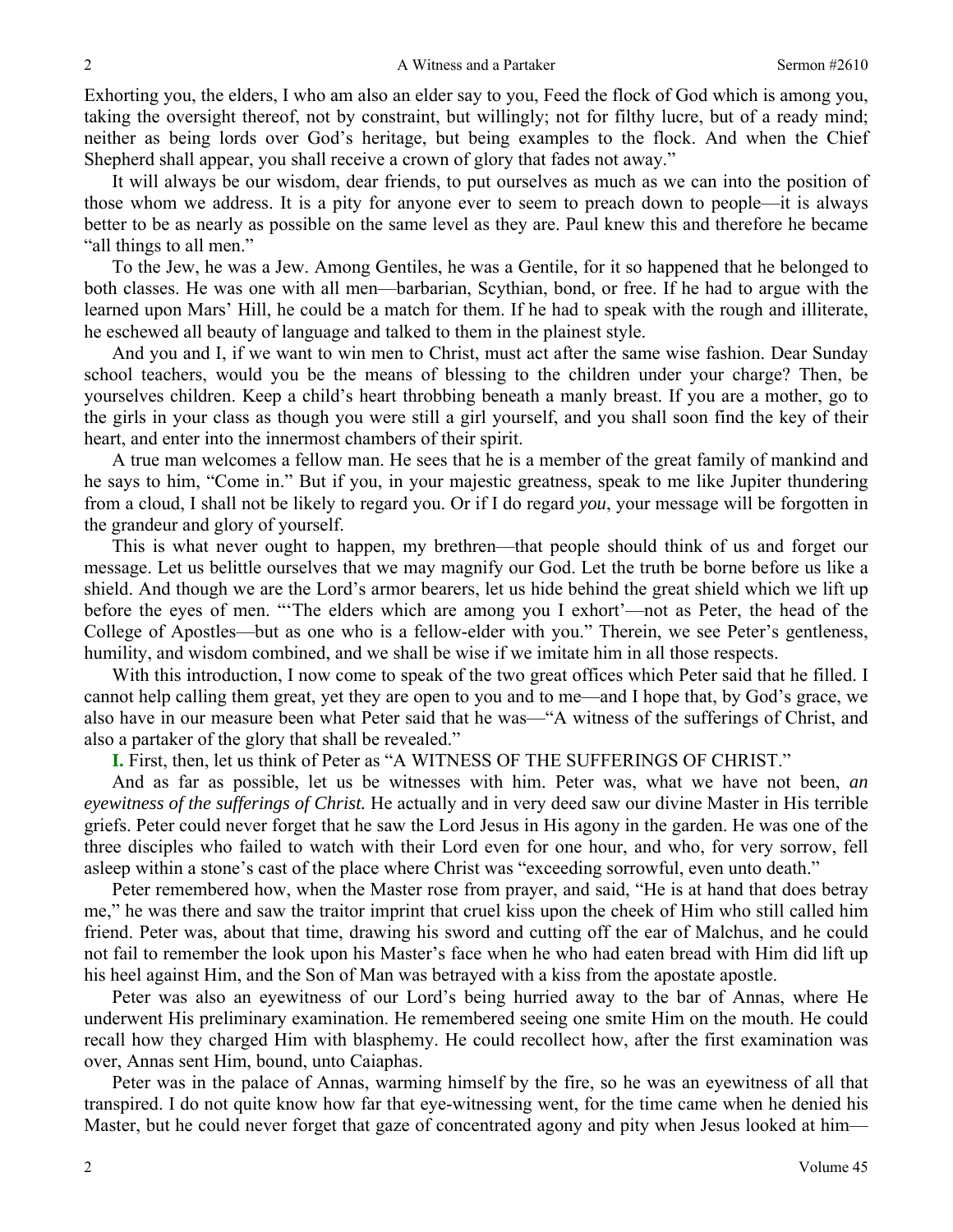Exhorting you, the elders, I who am also an elder say to you, Feed the flock of God which is among you, taking the oversight thereof, not by constraint, but willingly; not for filthy lucre, but of a ready mind; neither as being lords over God's heritage, but being examples to the flock. And when the Chief Shepherd shall appear, you shall receive a crown of glory that fades not away."

 It will always be our wisdom, dear friends, to put ourselves as much as we can into the position of those whom we address. It is a pity for anyone ever to seem to preach down to people—it is always better to be as nearly as possible on the same level as they are. Paul knew this and therefore he became "all things to all men."

 To the Jew, he was a Jew. Among Gentiles, he was a Gentile, for it so happened that he belonged to both classes. He was one with all men—barbarian, Scythian, bond, or free. If he had to argue with the learned upon Mars' Hill, he could be a match for them. If he had to speak with the rough and illiterate, he eschewed all beauty of language and talked to them in the plainest style.

 And you and I, if we want to win men to Christ, must act after the same wise fashion. Dear Sunday school teachers, would you be the means of blessing to the children under your charge? Then, be yourselves children. Keep a child's heart throbbing beneath a manly breast. If you are a mother, go to the girls in your class as though you were still a girl yourself, and you shall soon find the key of their heart, and enter into the innermost chambers of their spirit.

 A true man welcomes a fellow man. He sees that he is a member of the great family of mankind and he says to him, "Come in." But if you, in your majestic greatness, speak to me like Jupiter thundering from a cloud, I shall not be likely to regard you. Or if I do regard *you*, your message will be forgotten in the grandeur and glory of yourself.

 This is what never ought to happen, my brethren—that people should think of us and forget our message. Let us belittle ourselves that we may magnify our God. Let the truth be borne before us like a shield. And though we are the Lord's armor bearers, let us hide behind the great shield which we lift up before the eyes of men. "'The elders which are among you I exhort'—not as Peter, the head of the College of Apostles—but as one who is a fellow-elder with you." Therein, we see Peter's gentleness, humility, and wisdom combined, and we shall be wise if we imitate him in all those respects.

 With this introduction, I now come to speak of the two great offices which Peter said that he filled. I cannot help calling them great, yet they are open to you and to me—and I hope that, by God's grace, we also have in our measure been what Peter said that he was—"A witness of the sufferings of Christ, and also a partaker of the glory that shall be revealed."

**I.** First, then, let us think of Peter as "A WITNESS OF THE SUFFERINGS OF CHRIST."

 And as far as possible, let us be witnesses with him. Peter was, what we have not been, *an eyewitness of the sufferings of Christ.* He actually and in very deed saw our divine Master in His terrible griefs. Peter could never forget that he saw the Lord Jesus in His agony in the garden. He was one of the three disciples who failed to watch with their Lord even for one hour, and who, for very sorrow, fell asleep within a stone's cast of the place where Christ was "exceeding sorrowful, even unto death."

 Peter remembered how, when the Master rose from prayer, and said, "He is at hand that does betray me," he was there and saw the traitor imprint that cruel kiss upon the cheek of Him who still called him friend. Peter was, about that time, drawing his sword and cutting off the ear of Malchus, and he could not fail to remember the look upon his Master's face when he who had eaten bread with Him did lift up his heel against Him, and the Son of Man was betrayed with a kiss from the apostate apostle.

 Peter was also an eyewitness of our Lord's being hurried away to the bar of Annas, where He underwent His preliminary examination. He remembered seeing one smite Him on the mouth. He could recall how they charged Him with blasphemy. He could recollect how, after the first examination was over, Annas sent Him, bound, unto Caiaphas.

 Peter was in the palace of Annas, warming himself by the fire, so he was an eyewitness of all that transpired. I do not quite know how far that eye-witnessing went, for the time came when he denied his Master, but he could never forget that gaze of concentrated agony and pity when Jesus looked at him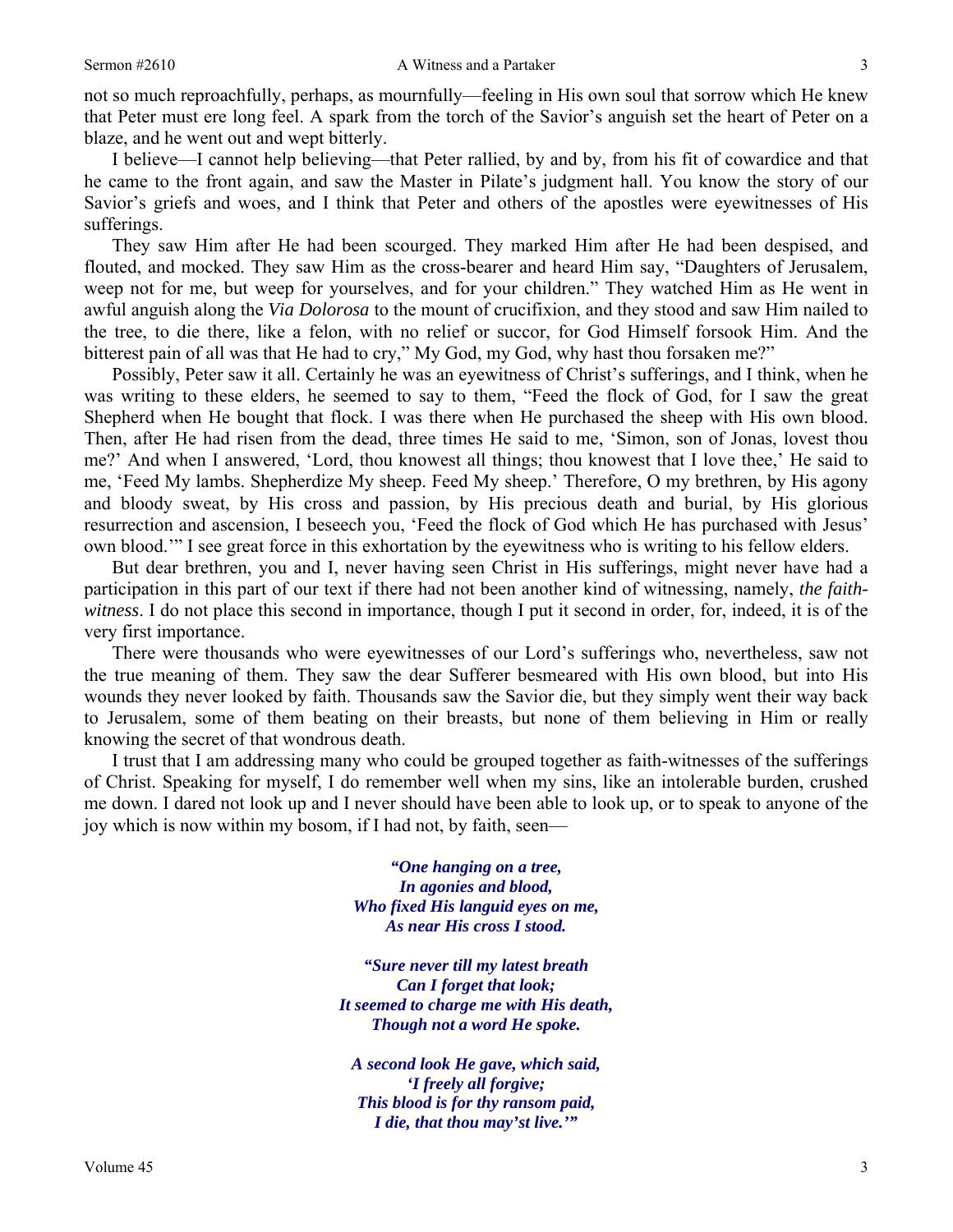not so much reproachfully, perhaps, as mournfully—feeling in His own soul that sorrow which He knew that Peter must ere long feel. A spark from the torch of the Savior's anguish set the heart of Peter on a blaze, and he went out and wept bitterly.

 I believe—I cannot help believing—that Peter rallied, by and by, from his fit of cowardice and that he came to the front again, and saw the Master in Pilate's judgment hall. You know the story of our Savior's griefs and woes, and I think that Peter and others of the apostles were eyewitnesses of His sufferings.

 They saw Him after He had been scourged. They marked Him after He had been despised, and flouted, and mocked. They saw Him as the cross-bearer and heard Him say, "Daughters of Jerusalem, weep not for me, but weep for yourselves, and for your children." They watched Him as He went in awful anguish along the *Via Dolorosa* to the mount of crucifixion, and they stood and saw Him nailed to the tree, to die there, like a felon, with no relief or succor, for God Himself forsook Him. And the bitterest pain of all was that He had to cry," My God, my God, why hast thou forsaken me?"

 Possibly, Peter saw it all. Certainly he was an eyewitness of Christ's sufferings, and I think, when he was writing to these elders, he seemed to say to them, "Feed the flock of God, for I saw the great Shepherd when He bought that flock. I was there when He purchased the sheep with His own blood. Then, after He had risen from the dead, three times He said to me, 'Simon, son of Jonas, lovest thou me?' And when I answered, 'Lord, thou knowest all things; thou knowest that I love thee,' He said to me, 'Feed My lambs. Shepherdize My sheep. Feed My sheep.' Therefore, O my brethren, by His agony and bloody sweat, by His cross and passion, by His precious death and burial, by His glorious resurrection and ascension, I beseech you, 'Feed the flock of God which He has purchased with Jesus' own blood.'" I see great force in this exhortation by the eyewitness who is writing to his fellow elders.

 But dear brethren, you and I, never having seen Christ in His sufferings, might never have had a participation in this part of our text if there had not been another kind of witnessing, namely, *the faithwitness*. I do not place this second in importance, though I put it second in order, for, indeed, it is of the very first importance.

 There were thousands who were eyewitnesses of our Lord's sufferings who, nevertheless, saw not the true meaning of them. They saw the dear Sufferer besmeared with His own blood, but into His wounds they never looked by faith. Thousands saw the Savior die, but they simply went their way back to Jerusalem, some of them beating on their breasts, but none of them believing in Him or really knowing the secret of that wondrous death.

 I trust that I am addressing many who could be grouped together as faith-witnesses of the sufferings of Christ. Speaking for myself, I do remember well when my sins, like an intolerable burden, crushed me down. I dared not look up and I never should have been able to look up, or to speak to anyone of the joy which is now within my bosom, if I had not, by faith, seen—

> *"One hanging on a tree, In agonies and blood, Who fixed His languid eyes on me, As near His cross I stood.*

*"Sure never till my latest breath Can I forget that look; It seemed to charge me with His death, Though not a word He spoke.* 

*A second look He gave, which said, 'I freely all forgive; This blood is for thy ransom paid, I die, that thou may'st live.'"*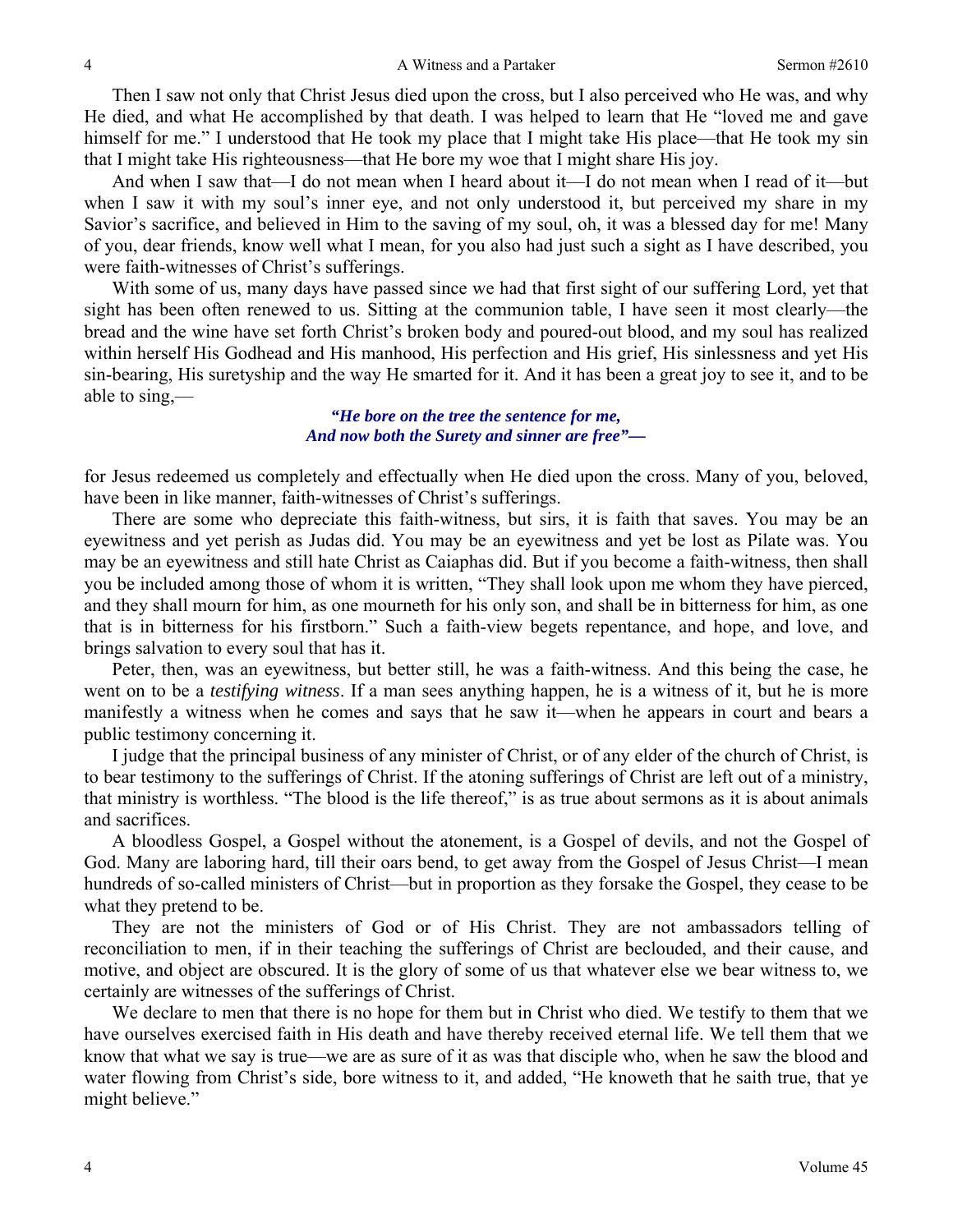Then I saw not only that Christ Jesus died upon the cross, but I also perceived who He was, and why He died, and what He accomplished by that death. I was helped to learn that He "loved me and gave himself for me." I understood that He took my place that I might take His place—that He took my sin that I might take His righteousness—that He bore my woe that I might share His joy.

 And when I saw that—I do not mean when I heard about it—I do not mean when I read of it—but when I saw it with my soul's inner eye, and not only understood it, but perceived my share in my Savior's sacrifice, and believed in Him to the saving of my soul, oh, it was a blessed day for me! Many of you, dear friends, know well what I mean, for you also had just such a sight as I have described, you were faith-witnesses of Christ's sufferings.

 With some of us, many days have passed since we had that first sight of our suffering Lord, yet that sight has been often renewed to us. Sitting at the communion table, I have seen it most clearly—the bread and the wine have set forth Christ's broken body and poured-out blood, and my soul has realized within herself His Godhead and His manhood, His perfection and His grief, His sinlessness and yet His sin-bearing, His suretyship and the way He smarted for it. And it has been a great joy to see it, and to be able to sing,—

### *"He bore on the tree the sentence for me, And now both the Surety and sinner are free"—*

for Jesus redeemed us completely and effectually when He died upon the cross. Many of you, beloved, have been in like manner, faith-witnesses of Christ's sufferings.

 There are some who depreciate this faith-witness, but sirs, it is faith that saves. You may be an eyewitness and yet perish as Judas did. You may be an eyewitness and yet be lost as Pilate was. You may be an eyewitness and still hate Christ as Caiaphas did. But if you become a faith-witness, then shall you be included among those of whom it is written, "They shall look upon me whom they have pierced, and they shall mourn for him, as one mourneth for his only son, and shall be in bitterness for him, as one that is in bitterness for his firstborn." Such a faith-view begets repentance, and hope, and love, and brings salvation to every soul that has it.

 Peter, then, was an eyewitness, but better still, he was a faith-witness. And this being the case, he went on to be a *testifying witness*. If a man sees anything happen, he is a witness of it, but he is more manifestly a witness when he comes and says that he saw it—when he appears in court and bears a public testimony concerning it.

 I judge that the principal business of any minister of Christ, or of any elder of the church of Christ, is to bear testimony to the sufferings of Christ. If the atoning sufferings of Christ are left out of a ministry, that ministry is worthless. "The blood is the life thereof," is as true about sermons as it is about animals and sacrifices.

 A bloodless Gospel, a Gospel without the atonement, is a Gospel of devils, and not the Gospel of God. Many are laboring hard, till their oars bend, to get away from the Gospel of Jesus Christ—I mean hundreds of so-called ministers of Christ—but in proportion as they forsake the Gospel, they cease to be what they pretend to be.

 They are not the ministers of God or of His Christ. They are not ambassadors telling of reconciliation to men, if in their teaching the sufferings of Christ are beclouded, and their cause, and motive, and object are obscured. It is the glory of some of us that whatever else we bear witness to, we certainly are witnesses of the sufferings of Christ.

 We declare to men that there is no hope for them but in Christ who died. We testify to them that we have ourselves exercised faith in His death and have thereby received eternal life. We tell them that we know that what we say is true—we are as sure of it as was that disciple who, when he saw the blood and water flowing from Christ's side, bore witness to it, and added, "He knoweth that he saith true, that ye might believe."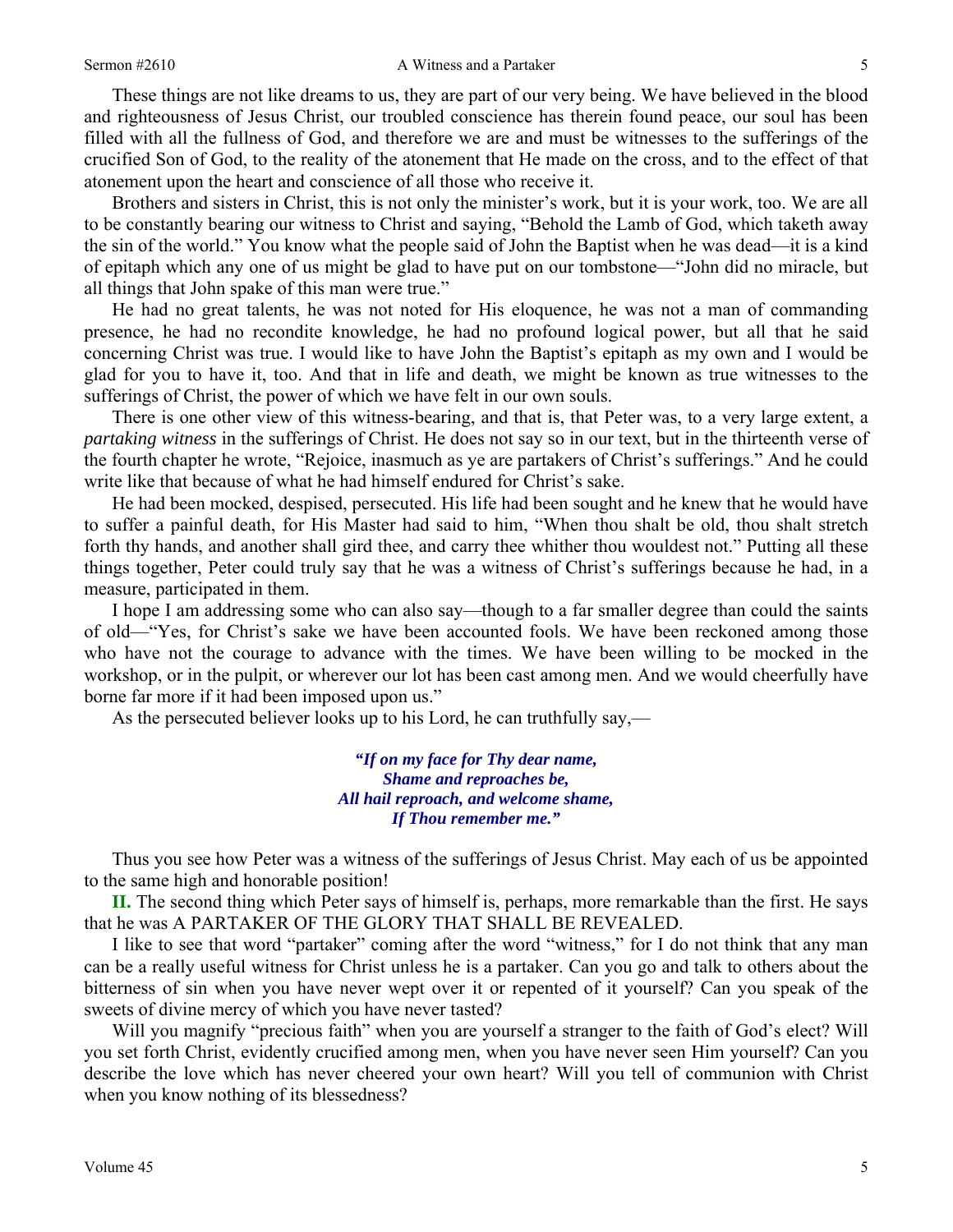#### Sermon #2610 **A** Witness and a Partaker 5

 These things are not like dreams to us, they are part of our very being. We have believed in the blood and righteousness of Jesus Christ, our troubled conscience has therein found peace, our soul has been filled with all the fullness of God, and therefore we are and must be witnesses to the sufferings of the crucified Son of God, to the reality of the atonement that He made on the cross, and to the effect of that atonement upon the heart and conscience of all those who receive it.

 Brothers and sisters in Christ, this is not only the minister's work, but it is your work, too. We are all to be constantly bearing our witness to Christ and saying, "Behold the Lamb of God, which taketh away the sin of the world." You know what the people said of John the Baptist when he was dead—it is a kind of epitaph which any one of us might be glad to have put on our tombstone—"John did no miracle, but all things that John spake of this man were true."

 He had no great talents, he was not noted for His eloquence, he was not a man of commanding presence, he had no recondite knowledge, he had no profound logical power, but all that he said concerning Christ was true. I would like to have John the Baptist's epitaph as my own and I would be glad for you to have it, too. And that in life and death, we might be known as true witnesses to the sufferings of Christ, the power of which we have felt in our own souls.

 There is one other view of this witness-bearing, and that is, that Peter was, to a very large extent, a *partaking witness* in the sufferings of Christ. He does not say so in our text, but in the thirteenth verse of the fourth chapter he wrote, "Rejoice, inasmuch as ye are partakers of Christ's sufferings." And he could write like that because of what he had himself endured for Christ's sake.

 He had been mocked, despised, persecuted. His life had been sought and he knew that he would have to suffer a painful death, for His Master had said to him, "When thou shalt be old, thou shalt stretch forth thy hands, and another shall gird thee, and carry thee whither thou wouldest not." Putting all these things together, Peter could truly say that he was a witness of Christ's sufferings because he had, in a measure, participated in them.

 I hope I am addressing some who can also say—though to a far smaller degree than could the saints of old—"Yes, for Christ's sake we have been accounted fools. We have been reckoned among those who have not the courage to advance with the times. We have been willing to be mocked in the workshop, or in the pulpit, or wherever our lot has been cast among men. And we would cheerfully have borne far more if it had been imposed upon us."

As the persecuted believer looks up to his Lord, he can truthfully say,—

*"If on my face for Thy dear name, Shame and reproaches be, All hail reproach, and welcome shame, If Thou remember me."* 

 Thus you see how Peter was a witness of the sufferings of Jesus Christ. May each of us be appointed to the same high and honorable position!

**II.** The second thing which Peter says of himself is, perhaps, more remarkable than the first. He says that he was A PARTAKER OF THE GLORY THAT SHALL BE REVEALED.

 I like to see that word "partaker" coming after the word "witness," for I do not think that any man can be a really useful witness for Christ unless he is a partaker. Can you go and talk to others about the bitterness of sin when you have never wept over it or repented of it yourself? Can you speak of the sweets of divine mercy of which you have never tasted?

 Will you magnify "precious faith" when you are yourself a stranger to the faith of God's elect? Will you set forth Christ, evidently crucified among men, when you have never seen Him yourself? Can you describe the love which has never cheered your own heart? Will you tell of communion with Christ when you know nothing of its blessedness?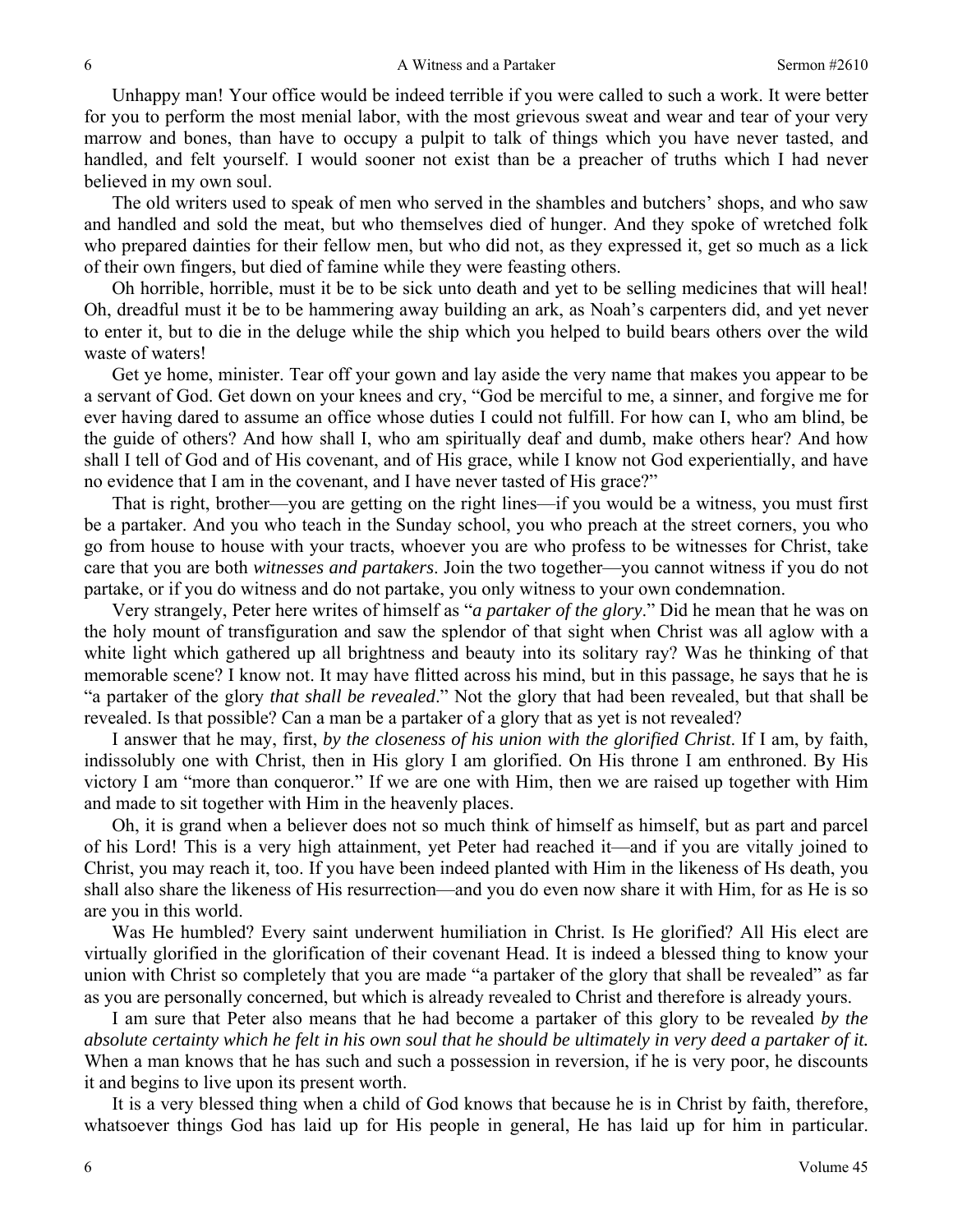Unhappy man! Your office would be indeed terrible if you were called to such a work. It were better for you to perform the most menial labor, with the most grievous sweat and wear and tear of your very marrow and bones, than have to occupy a pulpit to talk of things which you have never tasted, and handled, and felt yourself. I would sooner not exist than be a preacher of truths which I had never believed in my own soul.

 The old writers used to speak of men who served in the shambles and butchers' shops, and who saw and handled and sold the meat, but who themselves died of hunger. And they spoke of wretched folk who prepared dainties for their fellow men, but who did not, as they expressed it, get so much as a lick of their own fingers, but died of famine while they were feasting others.

 Oh horrible, horrible, must it be to be sick unto death and yet to be selling medicines that will heal! Oh, dreadful must it be to be hammering away building an ark, as Noah's carpenters did, and yet never to enter it, but to die in the deluge while the ship which you helped to build bears others over the wild waste of waters!

 Get ye home, minister. Tear off your gown and lay aside the very name that makes you appear to be a servant of God. Get down on your knees and cry, "God be merciful to me, a sinner, and forgive me for ever having dared to assume an office whose duties I could not fulfill. For how can I, who am blind, be the guide of others? And how shall I, who am spiritually deaf and dumb, make others hear? And how shall I tell of God and of His covenant, and of His grace, while I know not God experientially, and have no evidence that I am in the covenant, and I have never tasted of His grace?"

 That is right, brother—you are getting on the right lines—if you would be a witness, you must first be a partaker. And you who teach in the Sunday school, you who preach at the street corners, you who go from house to house with your tracts, whoever you are who profess to be witnesses for Christ, take care that you are both *witnesses and partakers*. Join the two together—you cannot witness if you do not partake, or if you do witness and do not partake, you only witness to your own condemnation.

 Very strangely, Peter here writes of himself as "*a partaker of the glory*." Did he mean that he was on the holy mount of transfiguration and saw the splendor of that sight when Christ was all aglow with a white light which gathered up all brightness and beauty into its solitary ray? Was he thinking of that memorable scene? I know not. It may have flitted across his mind, but in this passage, he says that he is "a partaker of the glory *that shall be revealed*." Not the glory that had been revealed, but that shall be revealed. Is that possible? Can a man be a partaker of a glory that as yet is not revealed?

 I answer that he may, first, *by the closeness of his union with the glorified Christ*. If I am, by faith, indissolubly one with Christ, then in His glory I am glorified. On His throne I am enthroned. By His victory I am "more than conqueror." If we are one with Him, then we are raised up together with Him and made to sit together with Him in the heavenly places.

 Oh, it is grand when a believer does not so much think of himself as himself, but as part and parcel of his Lord! This is a very high attainment, yet Peter had reached it—and if you are vitally joined to Christ, you may reach it, too. If you have been indeed planted with Him in the likeness of Hs death, you shall also share the likeness of His resurrection—and you do even now share it with Him, for as He is so are you in this world.

 Was He humbled? Every saint underwent humiliation in Christ. Is He glorified? All His elect are virtually glorified in the glorification of their covenant Head. It is indeed a blessed thing to know your union with Christ so completely that you are made "a partaker of the glory that shall be revealed" as far as you are personally concerned, but which is already revealed to Christ and therefore is already yours.

 I am sure that Peter also means that he had become a partaker of this glory to be revealed *by the absolute certainty which he felt in his own soul that he should be ultimately in very deed a partaker of it.* When a man knows that he has such and such a possession in reversion, if he is very poor, he discounts it and begins to live upon its present worth.

 It is a very blessed thing when a child of God knows that because he is in Christ by faith, therefore, whatsoever things God has laid up for His people in general, He has laid up for him in particular.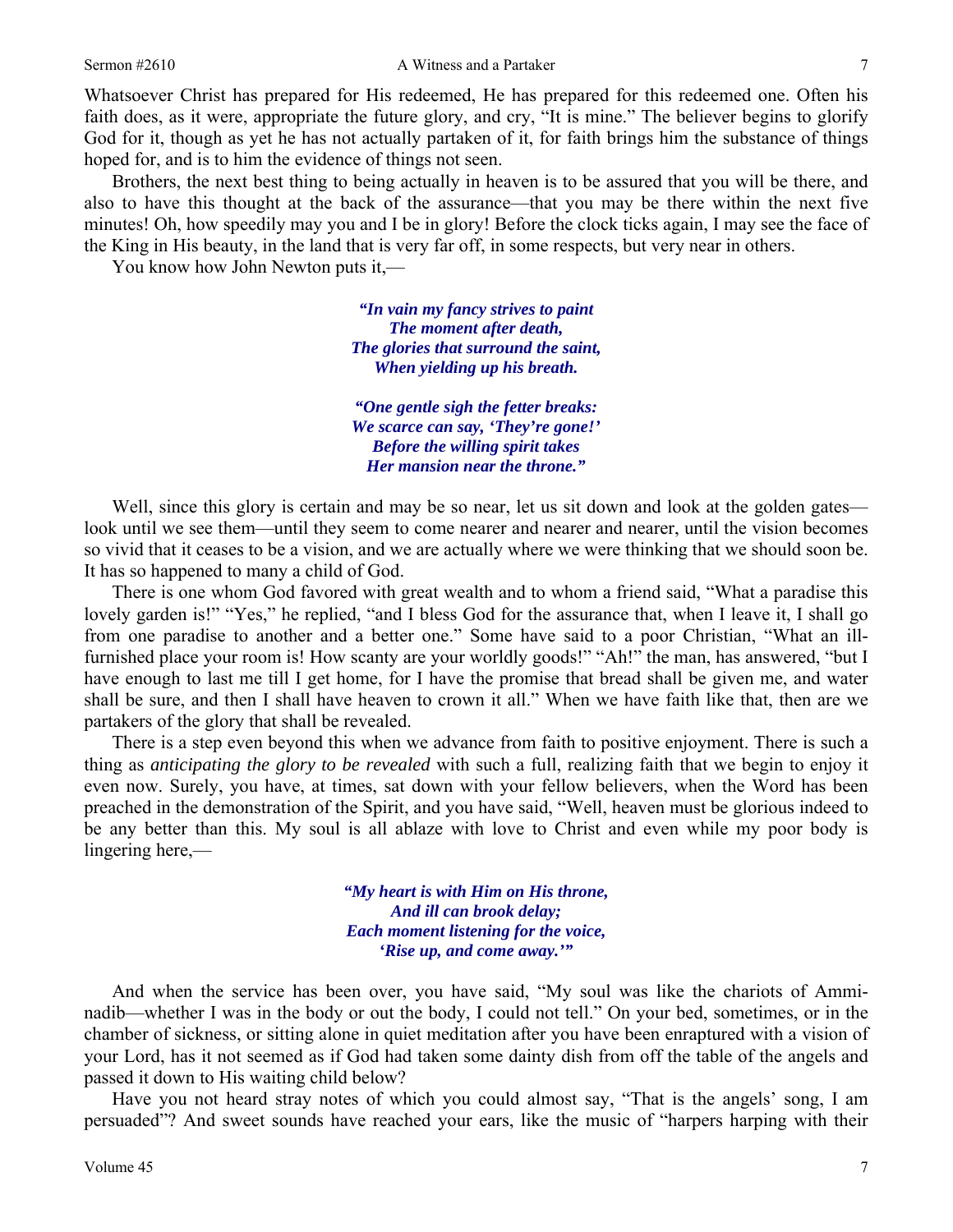Whatsoever Christ has prepared for His redeemed, He has prepared for this redeemed one. Often his faith does, as it were, appropriate the future glory, and cry, "It is mine." The believer begins to glorify God for it, though as yet he has not actually partaken of it, for faith brings him the substance of things hoped for, and is to him the evidence of things not seen.

 Brothers, the next best thing to being actually in heaven is to be assured that you will be there, and also to have this thought at the back of the assurance—that you may be there within the next five minutes! Oh, how speedily may you and I be in glory! Before the clock ticks again, I may see the face of the King in His beauty, in the land that is very far off, in some respects, but very near in others.

You know how John Newton puts it,—

*"In vain my fancy strives to paint The moment after death, The glories that surround the saint, When yielding up his breath.* 

*"One gentle sigh the fetter breaks: We scarce can say, 'They're gone!' Before the willing spirit takes Her mansion near the throne."* 

Well, since this glory is certain and may be so near, let us sit down and look at the golden gates look until we see them—until they seem to come nearer and nearer and nearer, until the vision becomes so vivid that it ceases to be a vision, and we are actually where we were thinking that we should soon be. It has so happened to many a child of God.

 There is one whom God favored with great wealth and to whom a friend said, "What a paradise this lovely garden is!" "Yes," he replied, "and I bless God for the assurance that, when I leave it, I shall go from one paradise to another and a better one." Some have said to a poor Christian, "What an illfurnished place your room is! How scanty are your worldly goods!" "Ah!" the man, has answered, "but I have enough to last me till I get home, for I have the promise that bread shall be given me, and water shall be sure, and then I shall have heaven to crown it all." When we have faith like that, then are we partakers of the glory that shall be revealed.

 There is a step even beyond this when we advance from faith to positive enjoyment. There is such a thing as *anticipating the glory to be revealed* with such a full, realizing faith that we begin to enjoy it even now. Surely, you have, at times, sat down with your fellow believers, when the Word has been preached in the demonstration of the Spirit, and you have said, "Well, heaven must be glorious indeed to be any better than this. My soul is all ablaze with love to Christ and even while my poor body is lingering here,—

> *"My heart is with Him on His throne, And ill can brook delay; Each moment listening for the voice, 'Rise up, and come away.'"*

 And when the service has been over, you have said, "My soul was like the chariots of Amminadib—whether I was in the body or out the body, I could not tell." On your bed, sometimes, or in the chamber of sickness, or sitting alone in quiet meditation after you have been enraptured with a vision of your Lord, has it not seemed as if God had taken some dainty dish from off the table of the angels and passed it down to His waiting child below?

 Have you not heard stray notes of which you could almost say, "That is the angels' song, I am persuaded"? And sweet sounds have reached your ears, like the music of "harpers harping with their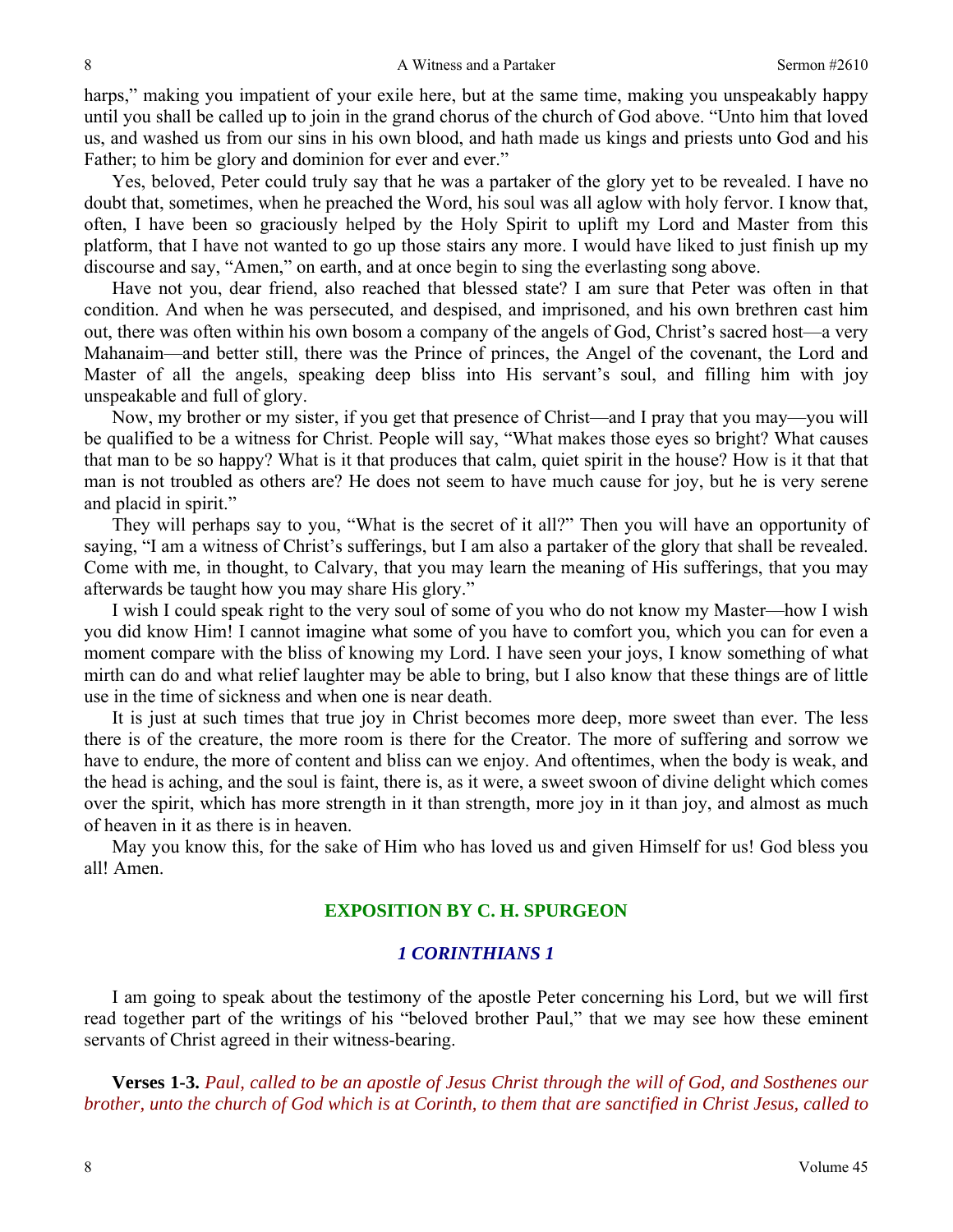harps," making you impatient of your exile here, but at the same time, making you unspeakably happy until you shall be called up to join in the grand chorus of the church of God above. "Unto him that loved us, and washed us from our sins in his own blood, and hath made us kings and priests unto God and his Father; to him be glory and dominion for ever and ever."

 Yes, beloved, Peter could truly say that he was a partaker of the glory yet to be revealed. I have no doubt that, sometimes, when he preached the Word, his soul was all aglow with holy fervor. I know that, often, I have been so graciously helped by the Holy Spirit to uplift my Lord and Master from this platform, that I have not wanted to go up those stairs any more. I would have liked to just finish up my discourse and say, "Amen," on earth, and at once begin to sing the everlasting song above.

 Have not you, dear friend, also reached that blessed state? I am sure that Peter was often in that condition. And when he was persecuted, and despised, and imprisoned, and his own brethren cast him out, there was often within his own bosom a company of the angels of God, Christ's sacred host—a very Mahanaim—and better still, there was the Prince of princes, the Angel of the covenant, the Lord and Master of all the angels, speaking deep bliss into His servant's soul, and filling him with joy unspeakable and full of glory.

 Now, my brother or my sister, if you get that presence of Christ—and I pray that you may—you will be qualified to be a witness for Christ. People will say, "What makes those eyes so bright? What causes that man to be so happy? What is it that produces that calm, quiet spirit in the house? How is it that that man is not troubled as others are? He does not seem to have much cause for joy, but he is very serene and placid in spirit."

 They will perhaps say to you, "What is the secret of it all?" Then you will have an opportunity of saying, "I am a witness of Christ's sufferings, but I am also a partaker of the glory that shall be revealed. Come with me, in thought, to Calvary, that you may learn the meaning of His sufferings, that you may afterwards be taught how you may share His glory."

 I wish I could speak right to the very soul of some of you who do not know my Master—how I wish you did know Him! I cannot imagine what some of you have to comfort you, which you can for even a moment compare with the bliss of knowing my Lord. I have seen your joys, I know something of what mirth can do and what relief laughter may be able to bring, but I also know that these things are of little use in the time of sickness and when one is near death.

 It is just at such times that true joy in Christ becomes more deep, more sweet than ever. The less there is of the creature, the more room is there for the Creator. The more of suffering and sorrow we have to endure, the more of content and bliss can we enjoy. And oftentimes, when the body is weak, and the head is aching, and the soul is faint, there is, as it were, a sweet swoon of divine delight which comes over the spirit, which has more strength in it than strength, more joy in it than joy, and almost as much of heaven in it as there is in heaven.

 May you know this, for the sake of Him who has loved us and given Himself for us! God bless you all! Amen.

## **EXPOSITION BY C. H. SPURGEON**

## *1 CORINTHIANS 1*

I am going to speak about the testimony of the apostle Peter concerning his Lord, but we will first read together part of the writings of his "beloved brother Paul," that we may see how these eminent servants of Christ agreed in their witness-bearing.

**Verses 1-3.** *Paul, called to be an apostle of Jesus Christ through the will of God, and Sosthenes our brother, unto the church of God which is at Corinth, to them that are sanctified in Christ Jesus, called to*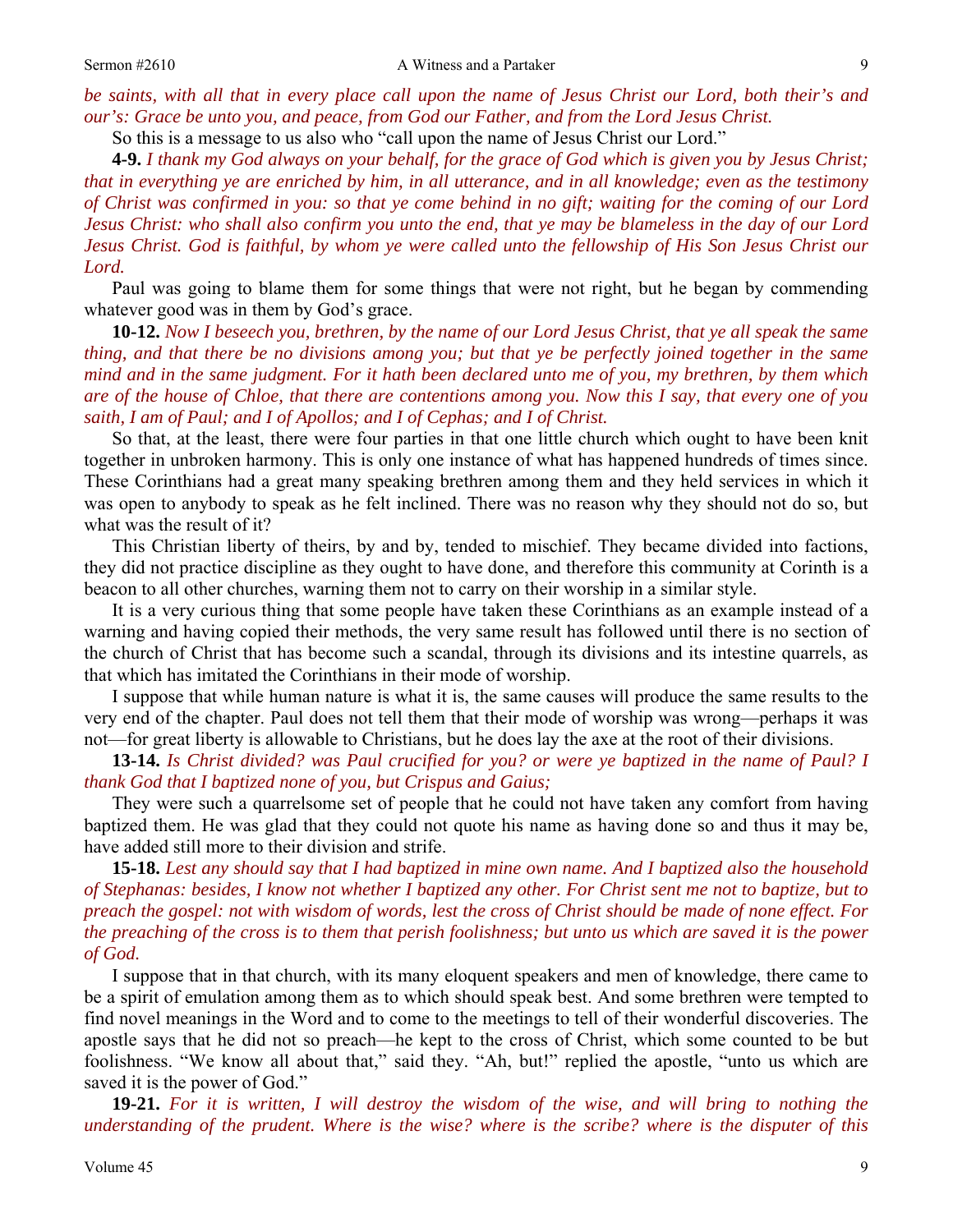*be saints, with all that in every place call upon the name of Jesus Christ our Lord, both their's and our's: Grace be unto you, and peace, from God our Father, and from the Lord Jesus Christ.* 

So this is a message to us also who "call upon the name of Jesus Christ our Lord."

**4-9.** *I thank my God always on your behalf, for the grace of God which is given you by Jesus Christ; that in everything ye are enriched by him, in all utterance, and in all knowledge; even as the testimony of Christ was confirmed in you: so that ye come behind in no gift; waiting for the coming of our Lord Jesus Christ: who shall also confirm you unto the end, that ye may be blameless in the day of our Lord Jesus Christ. God is faithful, by whom ye were called unto the fellowship of His Son Jesus Christ our Lord.* 

Paul was going to blame them for some things that were not right, but he began by commending whatever good was in them by God's grace.

**10-12.** *Now I beseech you, brethren, by the name of our Lord Jesus Christ, that ye all speak the same thing, and that there be no divisions among you; but that ye be perfectly joined together in the same mind and in the same judgment. For it hath been declared unto me of you, my brethren, by them which are of the house of Chloe, that there are contentions among you. Now this I say, that every one of you saith, I am of Paul; and I of Apollos; and I of Cephas; and I of Christ.*

So that, at the least, there were four parties in that one little church which ought to have been knit together in unbroken harmony. This is only one instance of what has happened hundreds of times since. These Corinthians had a great many speaking brethren among them and they held services in which it was open to anybody to speak as he felt inclined. There was no reason why they should not do so, but what was the result of it?

 This Christian liberty of theirs, by and by, tended to mischief. They became divided into factions, they did not practice discipline as they ought to have done, and therefore this community at Corinth is a beacon to all other churches, warning them not to carry on their worship in a similar style.

 It is a very curious thing that some people have taken these Corinthians as an example instead of a warning and having copied their methods, the very same result has followed until there is no section of the church of Christ that has become such a scandal, through its divisions and its intestine quarrels, as that which has imitated the Corinthians in their mode of worship.

 I suppose that while human nature is what it is, the same causes will produce the same results to the very end of the chapter. Paul does not tell them that their mode of worship was wrong—perhaps it was not—for great liberty is allowable to Christians, but he does lay the axe at the root of their divisions.

**13-14.** *Is Christ divided? was Paul crucified for you? or were ye baptized in the name of Paul? I thank God that I baptized none of you, but Crispus and Gaius;* 

They were such a quarrelsome set of people that he could not have taken any comfort from having baptized them. He was glad that they could not quote his name as having done so and thus it may be, have added still more to their division and strife.

**15-18.** *Lest any should say that I had baptized in mine own name. And I baptized also the household of Stephanas: besides, I know not whether I baptized any other. For Christ sent me not to baptize, but to preach the gospel: not with wisdom of words, lest the cross of Christ should be made of none effect. For the preaching of the cross is to them that perish foolishness; but unto us which are saved it is the power of God.*

I suppose that in that church, with its many eloquent speakers and men of knowledge, there came to be a spirit of emulation among them as to which should speak best. And some brethren were tempted to find novel meanings in the Word and to come to the meetings to tell of their wonderful discoveries. The apostle says that he did not so preach—he kept to the cross of Christ, which some counted to be but foolishness. "We know all about that," said they. "Ah, but!" replied the apostle, "unto us which are saved it is the power of God."

**19-21.** *For it is written, I will destroy the wisdom of the wise, and will bring to nothing the understanding of the prudent. Where is the wise? where is the scribe? where is the disputer of this*